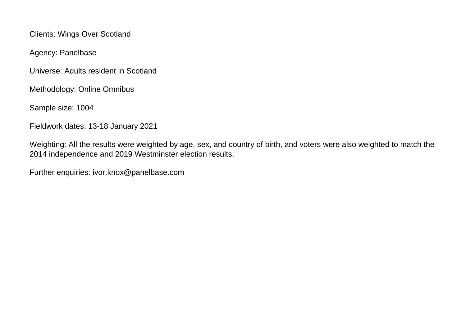Clients: Wings Over Scotland

Agency: Panelbase

Universe: Adults resident in Scotland

Methodology: Online Omnibus

Sample size: 1004

Fieldwork dates: 13-18 January 2021

Weighting: All the results were weighted by age, sex, and country of birth, and voters were also weighted to match the 2014 independence and 2019 Westminster election results.

Further enquiries: ivor.knox@panelbase.com